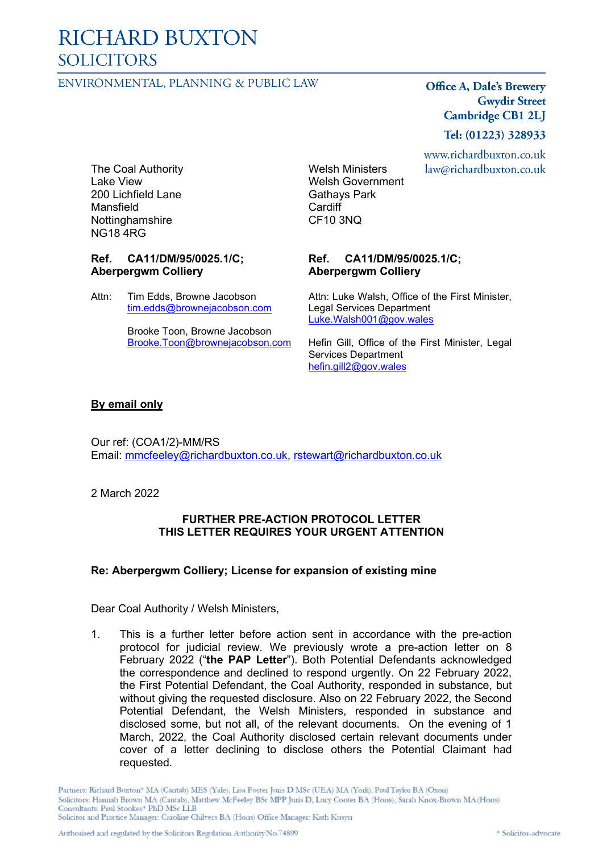# **RICHARD BUXTON SOLICITORS**

### ENVIRONMENTAL, PLANNING & PUBLIC LAW

**Office A, Dale's Brewery Gwydir Street Cambridge CB1 2LJ** 

www.richardbuxton.co.uk law@richardbuxton.co.uk

Tel: (01223) 328933

The Coal Authority Lake View 200 Lichfield Lane Mansfield **Nottinghamshire** NG18 4RG

# **Ref. CA11/DM/95/0025.1/C; Aberpergwm Colliery**

Attn: Tim Edds, Browne Jacobson [tim.edds@brownejacobson.com](mailto:tim.edds@brownejacobson.com)

> Brooke Toon, Browne Jacobson [Brooke.Toon@brownejacobson.com](mailto:Brooke.Toon@brownejacobson.com)

Welsh Ministers Welsh Government Gathays Park Cardiff CF10 3NQ

#### **Ref. CA11/DM/95/0025.1/C; Aberpergwm Colliery**

Attn: Luke Walsh, Office of the First Minister, Legal Services Department [Luke.Walsh001@gov.wales](mailto:Luke.Walsh001@gov.wales)

Hefin Gill, Office of the First Minister, Legal Services Department [hefin.gill2@gov.wales](mailto:hefin.gill2@gov.wales)

#### **By email only**

Our ref: (COA1/2)-MM/RS Email: [mmcfeeley@richardbuxton.co.uk,](mailto:mmcfeeley@richardbuxton.co.uk) [rstewart@richardbuxton.co.uk](mailto:rstewart@richardbuxton.co.uk)

2 March 2022

#### **FURTHER PRE-ACTION PROTOCOL LETTER THIS LETTER REQUIRES YOUR URGENT ATTENTION**

# **Re: Aberpergwm Colliery; License for expansion of existing mine**

Dear Coal Authority / Welsh Ministers,

1. This is a further letter before action sent in accordance with the pre-action protocol for judicial review. We previously wrote a pre-action letter on 8 February 2022 ("**the PAP Letter**"). Both Potential Defendants acknowledged the correspondence and declined to respond urgently. On 22 February 2022, the First Potential Defendant, the Coal Authority, responded in substance, but without giving the requested disclosure. Also on 22 February 2022, the Second Potential Defendant, the Welsh Ministers, responded in substance and disclosed some, but not all, of the relevant documents. On the evening of 1 March, 2022, the Coal Authority disclosed certain relevant documents under cover of a letter declining to disclose others the Potential Claimant had requested.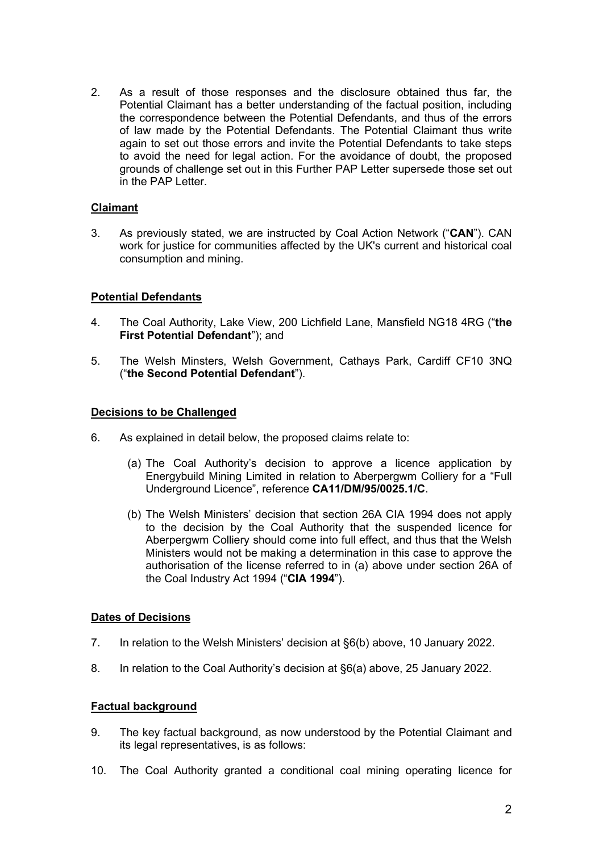2. As a result of those responses and the disclosure obtained thus far, the Potential Claimant has a better understanding of the factual position, including the correspondence between the Potential Defendants, and thus of the errors of law made by the Potential Defendants. The Potential Claimant thus write again to set out those errors and invite the Potential Defendants to take steps to avoid the need for legal action. For the avoidance of doubt, the proposed grounds of challenge set out in this Further PAP Letter supersede those set out in the PAP Letter.

# **Claimant**

3. As previously stated, we are instructed by Coal Action Network ("**CAN**"). CAN work for justice for communities affected by the UK's current and historical coal consumption and mining.

# **Potential Defendants**

- 4. The Coal Authority, Lake View, 200 Lichfield Lane, Mansfield NG18 4RG ("**the First Potential Defendant**"); and
- 5. The Welsh Minsters, Welsh Government, Cathays Park, Cardiff CF10 3NQ ("**the Second Potential Defendant**").

#### **Decisions to be Challenged**

- 6. As explained in detail below, the proposed claims relate to:
	- (a) The Coal Authority's decision to approve a licence application by Energybuild Mining Limited in relation to Aberpergwm Colliery for a "Full Underground Licence", reference **CA11/DM/95/0025.1/C**.
	- (b) The Welsh Ministers' decision that section 26A CIA 1994 does not apply to the decision by the Coal Authority that the suspended licence for Aberpergwm Colliery should come into full effect, and thus that the Welsh Ministers would not be making a determination in this case to approve the authorisation of the license referred to in (a) above under section 26A of the Coal Industry Act 1994 ("**CIA 1994**").

# **Dates of Decisions**

- 7. In relation to the Welsh Ministers' decision at §6(b) above, 10 January 2022.
- 8. In relation to the Coal Authority's decision at §6(a) above, 25 January 2022.

# **Factual background**

- 9. The key factual background, as now understood by the Potential Claimant and its legal representatives, is as follows:
- 10. The Coal Authority granted a conditional coal mining operating licence for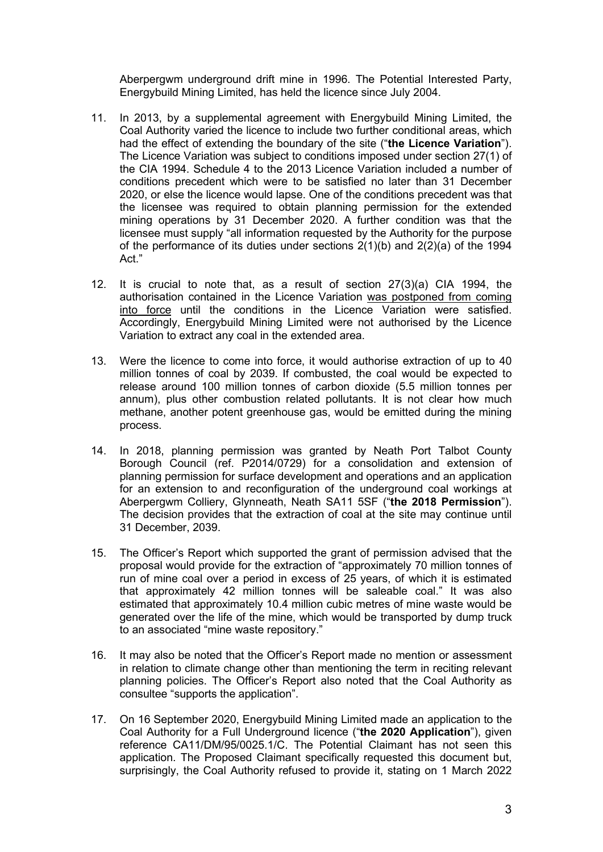Aberpergwm underground drift mine in 1996. The Potential Interested Party, Energybuild Mining Limited, has held the licence since July 2004.

- 11. In 2013, by a supplemental agreement with Energybuild Mining Limited, the Coal Authority varied the licence to include two further conditional areas, which had the effect of extending the boundary of the site ("**the Licence Variation**"). The Licence Variation was subject to conditions imposed under section 27(1) of the CIA 1994. Schedule 4 to the 2013 Licence Variation included a number of conditions precedent which were to be satisfied no later than 31 December 2020, or else the licence would lapse. One of the conditions precedent was that the licensee was required to obtain planning permission for the extended mining operations by 31 December 2020. A further condition was that the licensee must supply "all information requested by the Authority for the purpose of the performance of its duties under sections  $2(1)(b)$  and  $2(2)(a)$  of the 1994 Act."
- 12. It is crucial to note that, as a result of section 27(3)(a) CIA 1994, the authorisation contained in the Licence Variation was postponed from coming into force until the conditions in the Licence Variation were satisfied. Accordingly, Energybuild Mining Limited were not authorised by the Licence Variation to extract any coal in the extended area.
- 13. Were the licence to come into force, it would authorise extraction of up to 40 million tonnes of coal by 2039. If combusted, the coal would be expected to release around 100 million tonnes of carbon dioxide (5.5 million tonnes per annum), plus other combustion related pollutants. It is not clear how much methane, another potent greenhouse gas, would be emitted during the mining process.
- 14. In 2018, planning permission was granted by Neath Port Talbot County Borough Council (ref. P2014/0729) for a consolidation and extension of planning permission for surface development and operations and an application for an extension to and reconfiguration of the underground coal workings at Aberpergwm Colliery, Glynneath, Neath SA11 5SF ("**the 2018 Permission**"). The decision provides that the extraction of coal at the site may continue until 31 December, 2039.
- 15. The Officer's Report which supported the grant of permission advised that the proposal would provide for the extraction of "approximately 70 million tonnes of run of mine coal over a period in excess of 25 years, of which it is estimated that approximately 42 million tonnes will be saleable coal." It was also estimated that approximately 10.4 million cubic metres of mine waste would be generated over the life of the mine, which would be transported by dump truck to an associated "mine waste repository."
- 16. It may also be noted that the Officer's Report made no mention or assessment in relation to climate change other than mentioning the term in reciting relevant planning policies. The Officer's Report also noted that the Coal Authority as consultee "supports the application".
- 17. On 16 September 2020, Energybuild Mining Limited made an application to the Coal Authority for a Full Underground licence ("**the 2020 Application**"), given reference CA11/DM/95/0025.1/C. The Potential Claimant has not seen this application. The Proposed Claimant specifically requested this document but, surprisingly, the Coal Authority refused to provide it, stating on 1 March 2022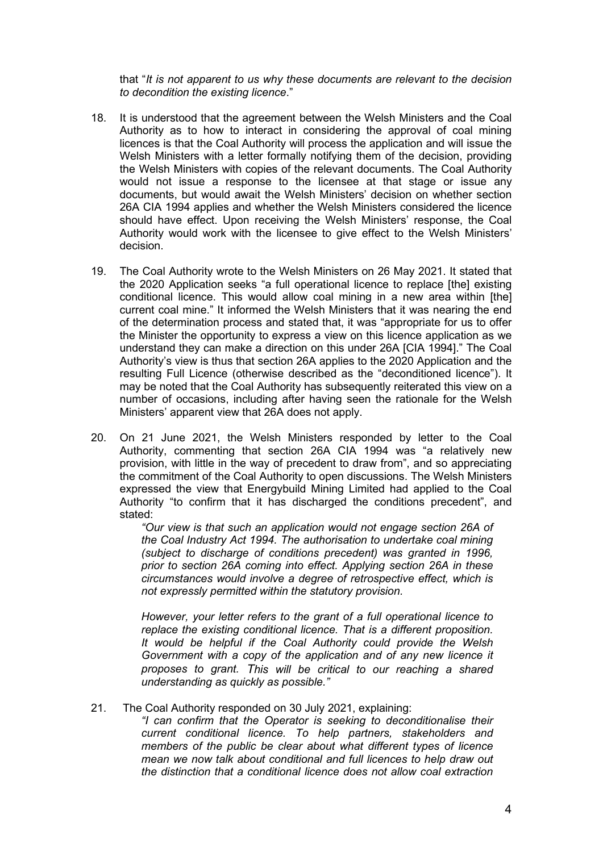that "*It is not apparent to us why these documents are relevant to the decision to decondition the existing licence*."

- 18. It is understood that the agreement between the Welsh Ministers and the Coal Authority as to how to interact in considering the approval of coal mining licences is that the Coal Authority will process the application and will issue the Welsh Ministers with a letter formally notifying them of the decision, providing the Welsh Ministers with copies of the relevant documents. The Coal Authority would not issue a response to the licensee at that stage or issue any documents, but would await the Welsh Ministers' decision on whether section 26A CIA 1994 applies and whether the Welsh Ministers considered the licence should have effect. Upon receiving the Welsh Ministers' response, the Coal Authority would work with the licensee to give effect to the Welsh Ministers' decision.
- 19. The Coal Authority wrote to the Welsh Ministers on 26 May 2021. It stated that the 2020 Application seeks "a full operational licence to replace [the] existing conditional licence. This would allow coal mining in a new area within [the] current coal mine." It informed the Welsh Ministers that it was nearing the end of the determination process and stated that, it was "appropriate for us to offer the Minister the opportunity to express a view on this licence application as we understand they can make a direction on this under 26A [CIA 1994]." The Coal Authority's view is thus that section 26A applies to the 2020 Application and the resulting Full Licence (otherwise described as the "deconditioned licence"). It may be noted that the Coal Authority has subsequently reiterated this view on a number of occasions, including after having seen the rationale for the Welsh Ministers' apparent view that 26A does not apply.
- 20. On 21 June 2021, the Welsh Ministers responded by letter to the Coal Authority, commenting that section 26A CIA 1994 was "a relatively new provision, with little in the way of precedent to draw from", and so appreciating the commitment of the Coal Authority to open discussions. The Welsh Ministers expressed the view that Energybuild Mining Limited had applied to the Coal Authority "to confirm that it has discharged the conditions precedent", and stated:

*"Our view is that such an application would not engage section 26A of the Coal Industry Act 1994. The authorisation to undertake coal mining (subject to discharge of conditions precedent) was granted in 1996, prior to section 26A coming into effect. Applying section 26A in these circumstances would involve a degree of retrospective effect, which is not expressly permitted within the statutory provision.*

*However, your letter refers to the grant of a full operational licence to replace the existing conditional licence. That is a different proposition. It would be helpful if the Coal Authority could provide the Welsh Government with a copy of the application and of any new licence it proposes to grant. This will be critical to our reaching a shared understanding as quickly as possible."*

#### 21. The Coal Authority responded on 30 July 2021, explaining:

*"I can confirm that the Operator is seeking to deconditionalise their current conditional licence. To help partners, stakeholders and members of the public be clear about what different types of licence mean we now talk about conditional and full licences to help draw out the distinction that a conditional licence does not allow coal extraction*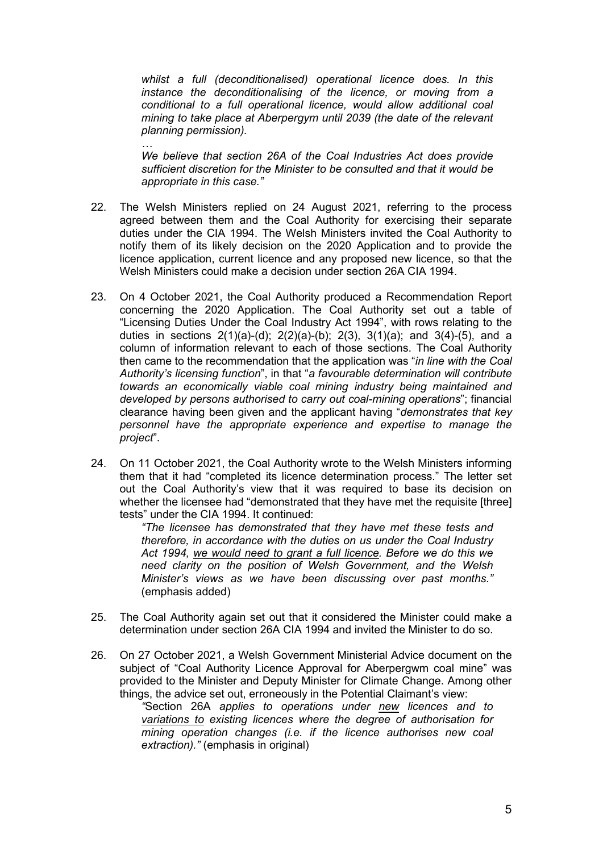*whilst a full (deconditionalised) operational licence does. In this instance the deconditionalising of the licence, or moving from a conditional to a full operational licence, would allow additional coal mining to take place at Aberpergym until 2039 (the date of the relevant planning permission).*

*… We believe that section 26A of the Coal Industries Act does provide sufficient discretion for the Minister to be consulted and that it would be appropriate in this case."*

- 22. The Welsh Ministers replied on 24 August 2021, referring to the process agreed between them and the Coal Authority for exercising their separate duties under the CIA 1994. The Welsh Ministers invited the Coal Authority to notify them of its likely decision on the 2020 Application and to provide the licence application, current licence and any proposed new licence, so that the Welsh Ministers could make a decision under section 26A CIA 1994.
- 23. On 4 October 2021, the Coal Authority produced a Recommendation Report concerning the 2020 Application. The Coal Authority set out a table of "Licensing Duties Under the Coal Industry Act 1994", with rows relating to the duties in sections  $2(1)(a)-(d)$ ;  $2(2)(a)-(b)$ ;  $2(3)$ ,  $3(1)(a)$ ; and  $3(4)-(5)$ , and a column of information relevant to each of those sections. The Coal Authority then came to the recommendation that the application was "*in line with the Coal Authority's licensing function*", in that "*a favourable determination will contribute towards an economically viable coal mining industry being maintained and developed by persons authorised to carry out coal-mining operations*"; financial clearance having been given and the applicant having "*demonstrates that key personnel have the appropriate experience and expertise to manage the project*".
- 24. On 11 October 2021, the Coal Authority wrote to the Welsh Ministers informing them that it had "completed its licence determination process." The letter set out the Coal Authority's view that it was required to base its decision on whether the licensee had "demonstrated that they have met the requisite [three] tests" under the CIA 1994. It continued:

*"The licensee has demonstrated that they have met these tests and therefore, in accordance with the duties on us under the Coal Industry Act 1994, we would need to grant a full licence. Before we do this we need clarity on the position of Welsh Government, and the Welsh Minister's views as we have been discussing over past months."* (emphasis added)

- 25. The Coal Authority again set out that it considered the Minister could make a determination under section 26A CIA 1994 and invited the Minister to do so.
- 26. On 27 October 2021, a Welsh Government Ministerial Advice document on the subject of "Coal Authority Licence Approval for Aberpergwm coal mine" was provided to the Minister and Deputy Minister for Climate Change. Among other things, the advice set out, erroneously in the Potential Claimant's view:

*"*Section 26A *applies to operations under new licences and to variations to existing licences where the degree of authorisation for mining operation changes (i.e. if the licence authorises new coal extraction)."* (emphasis in original)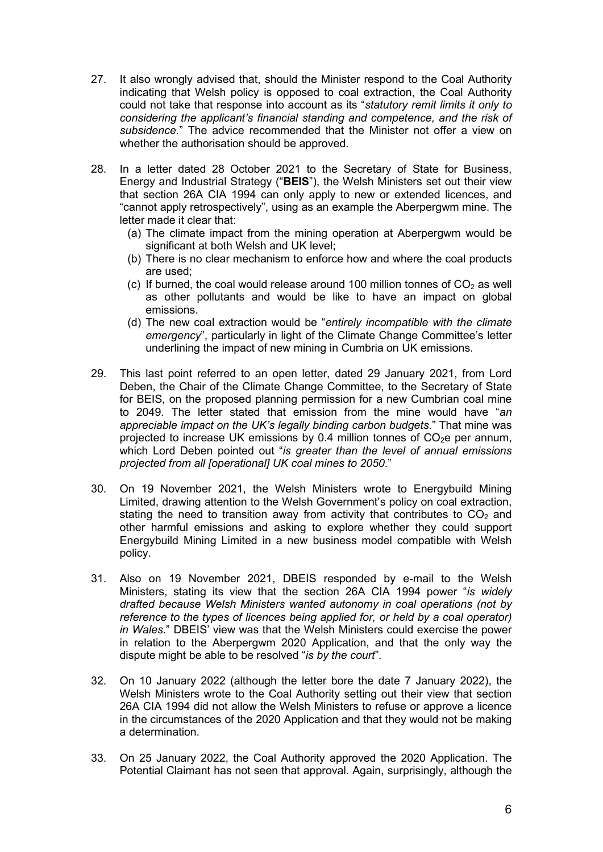- 27. It also wrongly advised that, should the Minister respond to the Coal Authority indicating that Welsh policy is opposed to coal extraction, the Coal Authority could not take that response into account as its "*statutory remit limits it only to considering the applicant's financial standing and competence, and the risk of subsidence.*" The advice recommended that the Minister not offer a view on whether the authorisation should be approved.
- 28. In a letter dated 28 October 2021 to the Secretary of State for Business, Energy and Industrial Strategy ("**BEIS**"), the Welsh Ministers set out their view that section 26A CIA 1994 can only apply to new or extended licences, and "cannot apply retrospectively", using as an example the Aberpergwm mine. The letter made it clear that:
	- (a) The climate impact from the mining operation at Aberpergwm would be significant at both Welsh and UK level;
	- (b) There is no clear mechanism to enforce how and where the coal products are used;
	- (c) If burned, the coal would release around 100 million tonnes of  $CO<sub>2</sub>$  as well as other pollutants and would be like to have an impact on global emissions.
	- (d) The new coal extraction would be "*entirely incompatible with the climate emergency*", particularly in light of the Climate Change Committee's letter underlining the impact of new mining in Cumbria on UK emissions.
- 29. This last point referred to an open letter, dated 29 January 2021, from Lord Deben, the Chair of the Climate Change Committee, to the Secretary of State for BEIS, on the proposed planning permission for a new Cumbrian coal mine to 2049. The letter stated that emission from the mine would have "*an appreciable impact on the UK's legally binding carbon budgets*." That mine was projected to increase UK emissions by 0.4 million tonnes of  $CO<sub>2</sub>e$  per annum, which Lord Deben pointed out "*is greater than the level of annual emissions projected from all [operational] UK coal mines to 2050*."
- 30. On 19 November 2021, the Welsh Ministers wrote to Energybuild Mining Limited, drawing attention to the Welsh Government's policy on coal extraction, stating the need to transition away from activity that contributes to  $CO<sub>2</sub>$  and other harmful emissions and asking to explore whether they could support Energybuild Mining Limited in a new business model compatible with Welsh policy.
- 31. Also on 19 November 2021, DBEIS responded by e-mail to the Welsh Ministers, stating its view that the section 26A CIA 1994 power "*is widely drafted because Welsh Ministers wanted autonomy in coal operations (not by reference to the types of licences being applied for, or held by a coal operator) in Wales.*" DBEIS' view was that the Welsh Ministers could exercise the power in relation to the Aberpergwm 2020 Application, and that the only way the dispute might be able to be resolved "*is by the court*".
- 32. On 10 January 2022 (although the letter bore the date 7 January 2022), the Welsh Ministers wrote to the Coal Authority setting out their view that section 26A CIA 1994 did not allow the Welsh Ministers to refuse or approve a licence in the circumstances of the 2020 Application and that they would not be making a determination.
- 33. On 25 January 2022, the Coal Authority approved the 2020 Application. The Potential Claimant has not seen that approval. Again, surprisingly, although the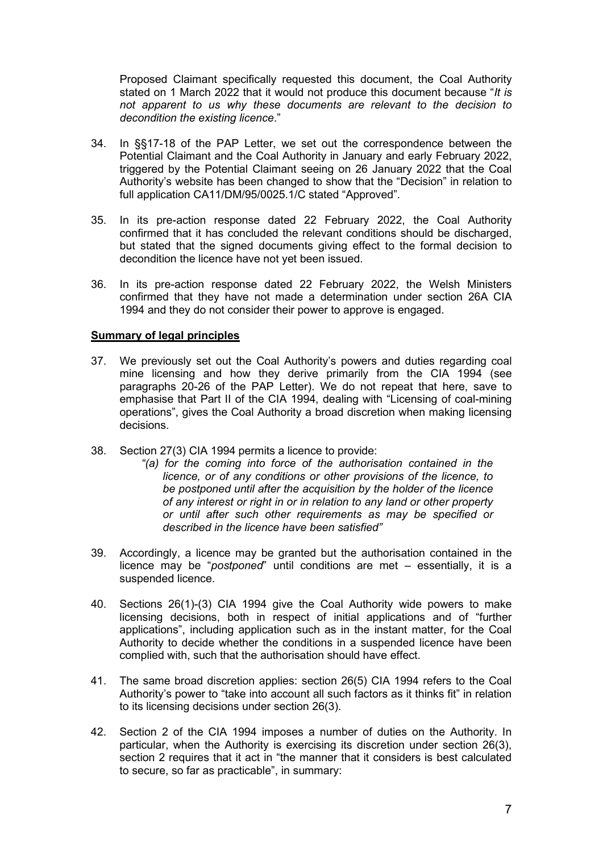Proposed Claimant specifically requested this document, the Coal Authority stated on 1 March 2022 that it would not produce this document because "*It is not apparent to us why these documents are relevant to the decision to decondition the existing licence*."

- 34. In §§17-18 of the PAP Letter, we set out the correspondence between the Potential Claimant and the Coal Authority in January and early February 2022, triggered by the Potential Claimant seeing on 26 January 2022 that the Coal Authority's website has been changed to show that the "Decision" in relation to full application CA11/DM/95/0025.1/C stated "Approved".
- 35. In its pre-action response dated 22 February 2022, the Coal Authority confirmed that it has concluded the relevant conditions should be discharged, but stated that the signed documents giving effect to the formal decision to decondition the licence have not yet been issued.
- 36. In its pre-action response dated 22 February 2022, the Welsh Ministers confirmed that they have not made a determination under section 26A CIA 1994 and they do not consider their power to approve is engaged.

# **Summary of legal principles**

- 37. We previously set out the Coal Authority's powers and duties regarding coal mine licensing and how they derive primarily from the CIA 1994 (see paragraphs 20-26 of the PAP Letter). We do not repeat that here, save to emphasise that Part II of the CIA 1994, dealing with "Licensing of coal-mining operations", gives the Coal Authority a broad discretion when making licensing decisions.
- 38. Section 27(3) CIA 1994 permits a licence to provide:
	- *"(a) for the coming into force of the authorisation contained in the licence, or of any conditions or other provisions of the licence, to be postponed until after the acquisition by the holder of the licence of any interest or right in or in relation to any land or other property or until after such other requirements as may be specified or described in the licence have been satisfied"*
- 39. Accordingly, a licence may be granted but the authorisation contained in the licence may be "*postponed*" until conditions are met – essentially, it is a suspended licence.
- 40. Sections 26(1)-(3) CIA 1994 give the Coal Authority wide powers to make licensing decisions, both in respect of initial applications and of "further applications", including application such as in the instant matter, for the Coal Authority to decide whether the conditions in a suspended licence have been complied with, such that the authorisation should have effect.
- 41. The same broad discretion applies: section 26(5) CIA 1994 refers to the Coal Authority's power to "take into account all such factors as it thinks fit" in relation to its licensing decisions under section 26(3).
- 42. Section 2 of the CIA 1994 imposes a number of duties on the Authority. In particular, when the Authority is exercising its discretion under section 26(3), section 2 requires that it act in "the manner that it considers is best calculated to secure, so far as practicable", in summary: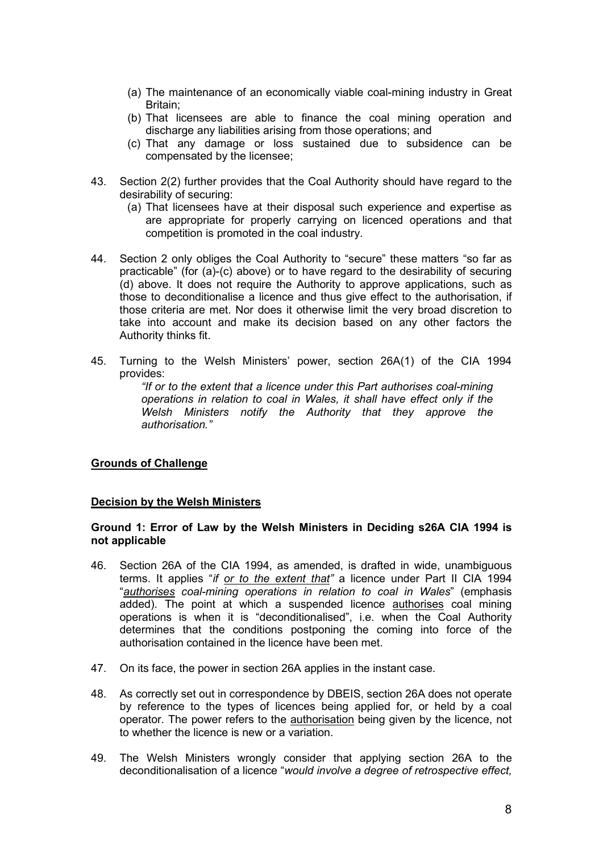- (a) The maintenance of an economically viable coal-mining industry in Great Britain;
- (b) That licensees are able to finance the coal mining operation and discharge any liabilities arising from those operations; and
- (c) That any damage or loss sustained due to subsidence can be compensated by the licensee;
- 43. Section 2(2) further provides that the Coal Authority should have regard to the desirability of securing:
	- (a) That licensees have at their disposal such experience and expertise as are appropriate for properly carrying on licenced operations and that competition is promoted in the coal industry.
- 44. Section 2 only obliges the Coal Authority to "secure" these matters "so far as practicable" (for (a)-(c) above) or to have regard to the desirability of securing (d) above. It does not require the Authority to approve applications, such as those to deconditionalise a licence and thus give effect to the authorisation, if those criteria are met. Nor does it otherwise limit the very broad discretion to take into account and make its decision based on any other factors the Authority thinks fit.
- 45. Turning to the Welsh Ministers' power, section 26A(1) of the CIA 1994 provides:

*"If or to the extent that a licence under this Part authorises coal-mining operations in relation to coal in Wales, it shall have effect only if the Welsh Ministers notify the Authority that they approve the authorisation."* 

#### **Grounds of Challenge**

#### **Decision by the Welsh Ministers**

#### **Ground 1: Error of Law by the Welsh Ministers in Deciding s26A CIA 1994 is not applicable**

- 46. Section 26A of the CIA 1994, as amended, is drafted in wide, unambiguous terms. It applies "*if or to the extent that"* a licence under Part II CIA 1994 "*authorises coal-mining operations in relation to coal in Wales*" (emphasis added). The point at which a suspended licence authorises coal mining operations is when it is "deconditionalised", i.e. when the Coal Authority determines that the conditions postponing the coming into force of the authorisation contained in the licence have been met.
- 47. On its face, the power in section 26A applies in the instant case.
- 48. As correctly set out in correspondence by DBEIS, section 26A does not operate by reference to the types of licences being applied for, or held by a coal operator. The power refers to the authorisation being given by the licence, not to whether the licence is new or a variation.
- 49. The Welsh Ministers wrongly consider that applying section 26A to the deconditionalisation of a licence "*would involve a degree of retrospective effect,*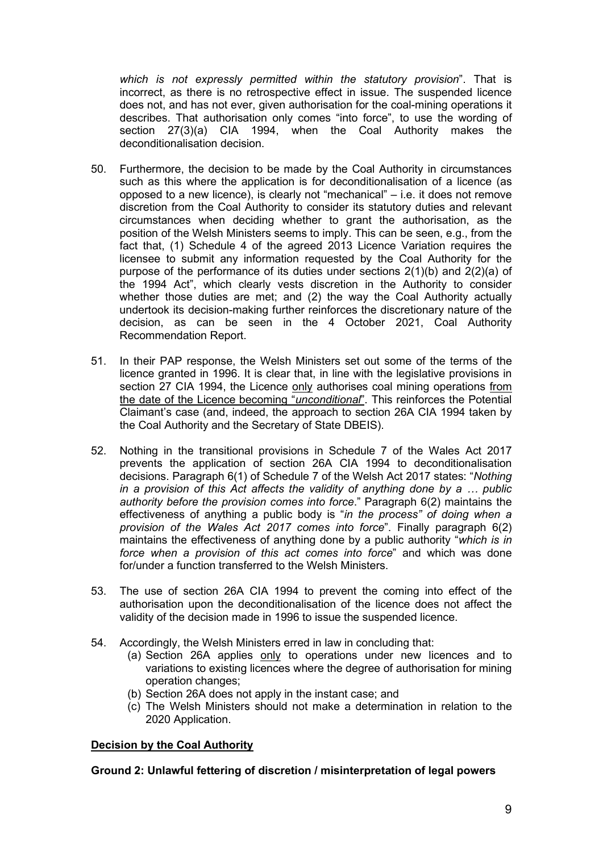*which is not expressly permitted within the statutory provision*". That is incorrect, as there is no retrospective effect in issue. The suspended licence does not, and has not ever, given authorisation for the coal-mining operations it describes. That authorisation only comes "into force", to use the wording of section 27(3)(a) CIA 1994, when the Coal Authority makes the deconditionalisation decision.

- 50. Furthermore, the decision to be made by the Coal Authority in circumstances such as this where the application is for deconditionalisation of a licence (as opposed to a new licence), is clearly not "mechanical" – i.e. it does not remove discretion from the Coal Authority to consider its statutory duties and relevant circumstances when deciding whether to grant the authorisation, as the position of the Welsh Ministers seems to imply. This can be seen, e.g., from the fact that, (1) Schedule 4 of the agreed 2013 Licence Variation requires the licensee to submit any information requested by the Coal Authority for the purpose of the performance of its duties under sections 2(1)(b) and 2(2)(a) of the 1994 Act", which clearly vests discretion in the Authority to consider whether those duties are met; and (2) the way the Coal Authority actually undertook its decision-making further reinforces the discretionary nature of the decision, as can be seen in the 4 October 2021, Coal Authority Recommendation Report.
- 51. In their PAP response, the Welsh Ministers set out some of the terms of the licence granted in 1996. It is clear that, in line with the legislative provisions in section 27 CIA 1994, the Licence only authorises coal mining operations from the date of the Licence becoming "*unconditional*". This reinforces the Potential Claimant's case (and, indeed, the approach to section 26A CIA 1994 taken by the Coal Authority and the Secretary of State DBEIS).
- 52. Nothing in the transitional provisions in Schedule 7 of the Wales Act 2017 prevents the application of section 26A CIA 1994 to deconditionalisation decisions. Paragraph 6(1) of Schedule 7 of the Welsh Act 2017 states: "*Nothing in a provision of this Act affects the validity of anything done by a … public authority before the provision comes into force*." Paragraph 6(2) maintains the effectiveness of anything a public body is "*in the process" of doing when a provision of the Wales Act 2017 comes into force*". Finally paragraph 6(2) maintains the effectiveness of anything done by a public authority "*which is in force when a provision of this act comes into force*" and which was done for/under a function transferred to the Welsh Ministers.
- 53. The use of section 26A CIA 1994 to prevent the coming into effect of the authorisation upon the deconditionalisation of the licence does not affect the validity of the decision made in 1996 to issue the suspended licence.
- 54. Accordingly, the Welsh Ministers erred in law in concluding that:
	- (a) Section 26A applies only to operations under new licences and to variations to existing licences where the degree of authorisation for mining operation changes;
	- (b) Section 26A does not apply in the instant case; and
	- (c) The Welsh Ministers should not make a determination in relation to the 2020 Application.

# **Decision by the Coal Authority**

# **Ground 2: Unlawful fettering of discretion / misinterpretation of legal powers**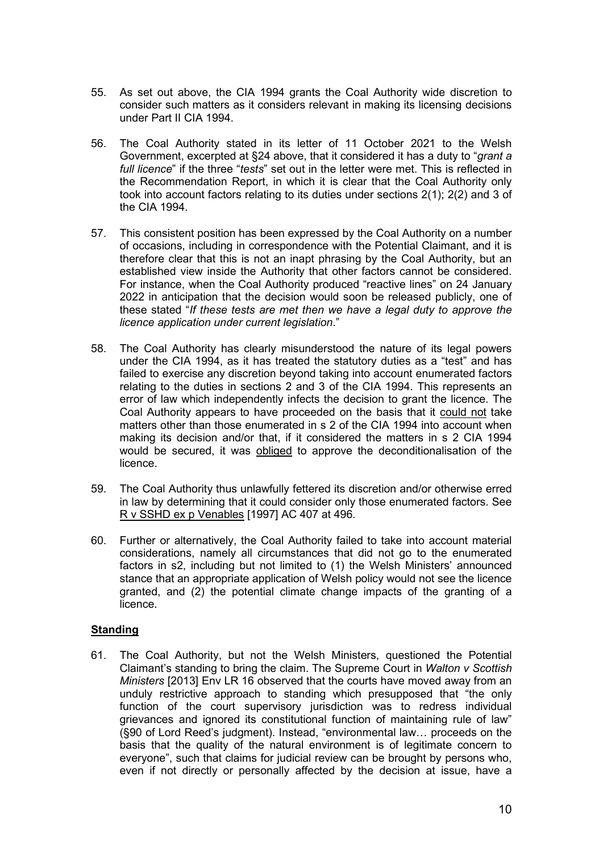- 55. As set out above, the CIA 1994 grants the Coal Authority wide discretion to consider such matters as it considers relevant in making its licensing decisions under Part II CIA 1994.
- 56. The Coal Authority stated in its letter of 11 October 2021 to the Welsh Government, excerpted at §24 above, that it considered it has a duty to "*grant a full licence*" if the three "*tests*" set out in the letter were met. This is reflected in the Recommendation Report, in which it is clear that the Coal Authority only took into account factors relating to its duties under sections 2(1); 2(2) and 3 of the CIA 1994.
- 57. This consistent position has been expressed by the Coal Authority on a number of occasions, including in correspondence with the Potential Claimant, and it is therefore clear that this is not an inapt phrasing by the Coal Authority, but an established view inside the Authority that other factors cannot be considered. For instance, when the Coal Authority produced "reactive lines" on 24 January 2022 in anticipation that the decision would soon be released publicly, one of these stated "*If these tests are met then we have a legal duty to approve the licence application under current legislation*."
- 58. The Coal Authority has clearly misunderstood the nature of its legal powers under the CIA 1994, as it has treated the statutory duties as a "test" and has failed to exercise any discretion beyond taking into account enumerated factors relating to the duties in sections 2 and 3 of the CIA 1994. This represents an error of law which independently infects the decision to grant the licence. The Coal Authority appears to have proceeded on the basis that it could not take matters other than those enumerated in s 2 of the CIA 1994 into account when making its decision and/or that, if it considered the matters in s 2 CIA 1994 would be secured, it was obliged to approve the deconditionalisation of the licence.
- 59. The Coal Authority thus unlawfully fettered its discretion and/or otherwise erred in law by determining that it could consider only those enumerated factors. See R v SSHD ex p Venables [1997] AC 407 at 496.
- 60. Further or alternatively, the Coal Authority failed to take into account material considerations, namely all circumstances that did not go to the enumerated factors in s2, including but not limited to (1) the Welsh Ministers' announced stance that an appropriate application of Welsh policy would not see the licence granted, and (2) the potential climate change impacts of the granting of a licence.

# **Standing**

61. The Coal Authority, but not the Welsh Ministers, questioned the Potential Claimant's standing to bring the claim. The Supreme Court in *Walton v Scottish Ministers* [2013] Env LR 16 observed that the courts have moved away from an unduly restrictive approach to standing which presupposed that "the only function of the court supervisory jurisdiction was to redress individual grievances and ignored its constitutional function of maintaining rule of law" (§90 of Lord Reed's judgment). Instead, "environmental law… proceeds on the basis that the quality of the natural environment is of legitimate concern to everyone", such that claims for judicial review can be brought by persons who, even if not directly or personally affected by the decision at issue, have a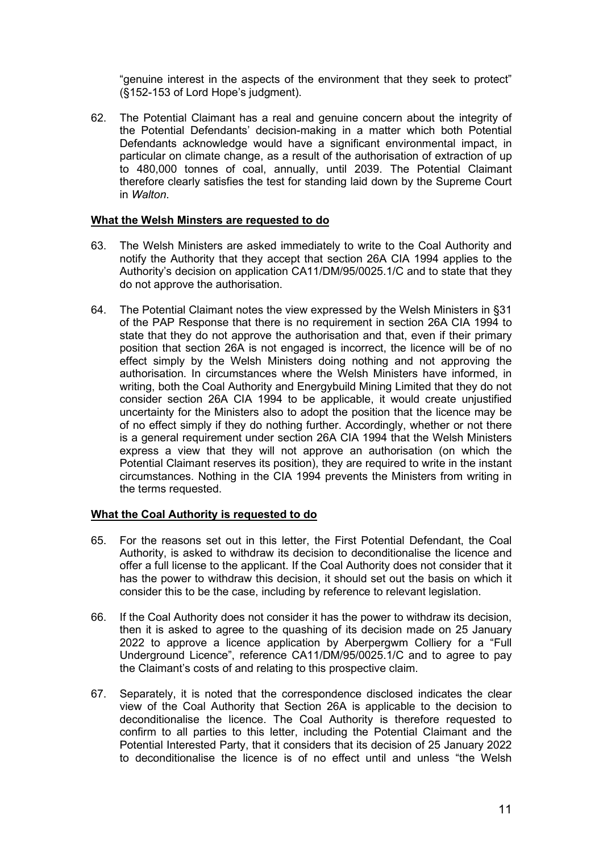"genuine interest in the aspects of the environment that they seek to protect" (§152-153 of Lord Hope's judgment).

62. The Potential Claimant has a real and genuine concern about the integrity of the Potential Defendants' decision-making in a matter which both Potential Defendants acknowledge would have a significant environmental impact, in particular on climate change, as a result of the authorisation of extraction of up to 480,000 tonnes of coal, annually, until 2039. The Potential Claimant therefore clearly satisfies the test for standing laid down by the Supreme Court in *Walton*.

# **What the Welsh Minsters are requested to do**

- 63. The Welsh Ministers are asked immediately to write to the Coal Authority and notify the Authority that they accept that section 26A CIA 1994 applies to the Authority's decision on application CA11/DM/95/0025.1/C and to state that they do not approve the authorisation.
- 64. The Potential Claimant notes the view expressed by the Welsh Ministers in §31 of the PAP Response that there is no requirement in section 26A CIA 1994 to state that they do not approve the authorisation and that, even if their primary position that section 26A is not engaged is incorrect, the licence will be of no effect simply by the Welsh Ministers doing nothing and not approving the authorisation. In circumstances where the Welsh Ministers have informed, in writing, both the Coal Authority and Energybuild Mining Limited that they do not consider section 26A CIA 1994 to be applicable, it would create unjustified uncertainty for the Ministers also to adopt the position that the licence may be of no effect simply if they do nothing further. Accordingly, whether or not there is a general requirement under section 26A CIA 1994 that the Welsh Ministers express a view that they will not approve an authorisation (on which the Potential Claimant reserves its position), they are required to write in the instant circumstances. Nothing in the CIA 1994 prevents the Ministers from writing in the terms requested.

# **What the Coal Authority is requested to do**

- 65. For the reasons set out in this letter, the First Potential Defendant, the Coal Authority, is asked to withdraw its decision to deconditionalise the licence and offer a full license to the applicant. If the Coal Authority does not consider that it has the power to withdraw this decision, it should set out the basis on which it consider this to be the case, including by reference to relevant legislation.
- 66. If the Coal Authority does not consider it has the power to withdraw its decision, then it is asked to agree to the quashing of its decision made on 25 January 2022 to approve a licence application by Aberpergwm Colliery for a "Full Underground Licence", reference CA11/DM/95/0025.1/C and to agree to pay the Claimant's costs of and relating to this prospective claim.
- 67. Separately, it is noted that the correspondence disclosed indicates the clear view of the Coal Authority that Section 26A is applicable to the decision to deconditionalise the licence. The Coal Authority is therefore requested to confirm to all parties to this letter, including the Potential Claimant and the Potential Interested Party, that it considers that its decision of 25 January 2022 to deconditionalise the licence is of no effect until and unless "the Welsh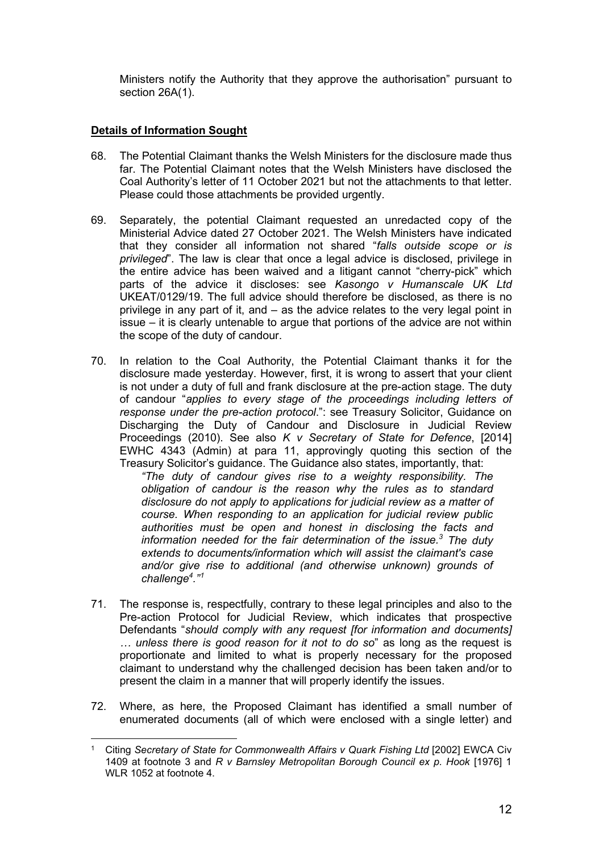Ministers notify the Authority that they approve the authorisation" pursuant to section 26A(1).

# **Details of Information Sought**

- 68. The Potential Claimant thanks the Welsh Ministers for the disclosure made thus far. The Potential Claimant notes that the Welsh Ministers have disclosed the Coal Authority's letter of 11 October 2021 but not the attachments to that letter. Please could those attachments be provided urgently.
- 69. Separately, the potential Claimant requested an unredacted copy of the Ministerial Advice dated 27 October 2021. The Welsh Ministers have indicated that they consider all information not shared "*falls outside scope or is privileged*". The law is clear that once a legal advice is disclosed, privilege in the entire advice has been waived and a litigant cannot "cherry-pick" which parts of the advice it discloses: see *Kasongo v Humanscale UK Ltd* UKEAT/0129/19. The full advice should therefore be disclosed, as there is no privilege in any part of it, and – as the advice relates to the very legal point in issue – it is clearly untenable to argue that portions of the advice are not within the scope of the duty of candour.
- 70. In relation to the Coal Authority, the Potential Claimant thanks it for the disclosure made yesterday. However, first, it is wrong to assert that your client is not under a duty of full and frank disclosure at the pre-action stage. The duty of candour "*applies to every stage of the proceedings including letters of response under the pre-action protocol*.": see Treasury Solicitor, Guidance on Discharging the Duty of Candour and Disclosure in Judicial Review Proceedings (2010). See also *K v Secretary of State for Defence*, [2014] EWHC 4343 (Admin) at para 11, approvingly quoting this section of the Treasury Solicitor's guidance. The Guidance also states, importantly, that:

*"The duty of candour gives rise to a weighty responsibility. The obligation of candour is the reason why the rules as to standard disclosure do not apply to applications for judicial review as a matter of course. When responding to an application for judicial review public authorities must be open and honest in disclosing the facts and information needed for the fair determination of the issue. <sup>3</sup> The duty extends to documents/information which will assist the claimant's case and/or give rise to additional (and otherwise unknown) grounds of challenge4 ." [1](#page-11-0)*

- 71. The response is, respectfully, contrary to these legal principles and also to the Pre-action Protocol for Judicial Review, which indicates that prospective Defendants "*should comply with any request [for information and documents] … unless there is good reason for it not to do so*" as long as the request is proportionate and limited to what is properly necessary for the proposed claimant to understand why the challenged decision has been taken and/or to present the claim in a manner that will properly identify the issues.
- 72. Where, as here, the Proposed Claimant has identified a small number of enumerated documents (all of which were enclosed with a single letter) and

<span id="page-11-0"></span><sup>1</sup> Citing *Secretary of State for Commonwealth Affairs v Quark Fishing Ltd* [2002] EWCA Civ 1409 at footnote 3 and *R v Barnsley Metropolitan Borough Council ex p. Hook* [1976] 1 WLR 1052 at footnote 4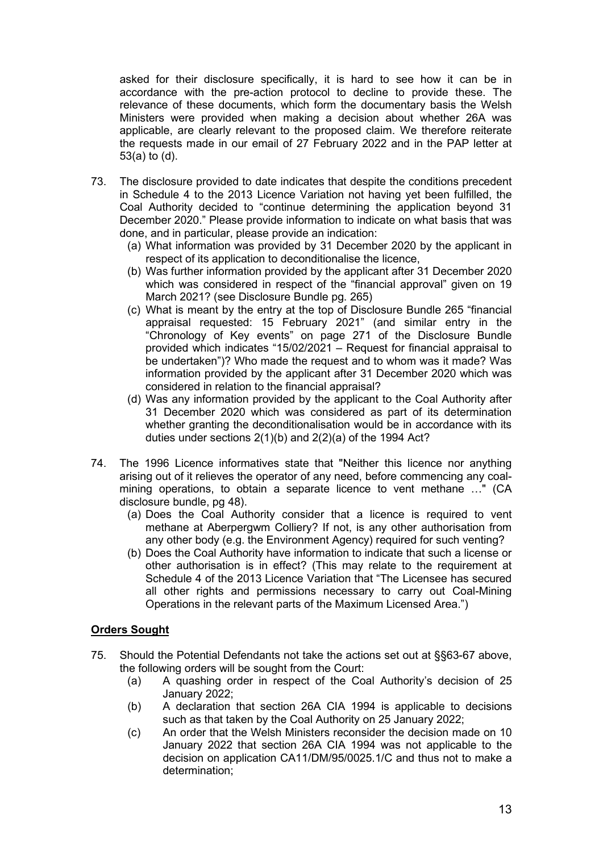asked for their disclosure specifically, it is hard to see how it can be in accordance with the pre-action protocol to decline to provide these. The relevance of these documents, which form the documentary basis the Welsh Ministers were provided when making a decision about whether 26A was applicable, are clearly relevant to the proposed claim. We therefore reiterate the requests made in our email of 27 February 2022 and in the PAP letter at 53(a) to (d).

- 73. The disclosure provided to date indicates that despite the conditions precedent in Schedule 4 to the 2013 Licence Variation not having yet been fulfilled, the Coal Authority decided to "continue determining the application beyond 31 December 2020." Please provide information to indicate on what basis that was done, and in particular, please provide an indication:
	- (a) What information was provided by 31 December 2020 by the applicant in respect of its application to deconditionalise the licence,
	- (b) Was further information provided by the applicant after 31 December 2020 which was considered in respect of the "financial approval" given on 19 March 2021? (see Disclosure Bundle pg. 265)
	- (c) What is meant by the entry at the top of Disclosure Bundle 265 "financial appraisal requested: 15 February 2021" (and similar entry in the "Chronology of Key events" on page 271 of the Disclosure Bundle provided which indicates "15/02/2021 – Request for financial appraisal to be undertaken")? Who made the request and to whom was it made? Was information provided by the applicant after 31 December 2020 which was considered in relation to the financial appraisal?
	- (d) Was any information provided by the applicant to the Coal Authority after 31 December 2020 which was considered as part of its determination whether granting the deconditionalisation would be in accordance with its duties under sections 2(1)(b) and 2(2)(a) of the 1994 Act?
- 74. The 1996 Licence informatives state that "Neither this licence nor anything arising out of it relieves the operator of any need, before commencing any coalmining operations, to obtain a separate licence to vent methane …" (CA disclosure bundle, pg 48).
	- (a) Does the Coal Authority consider that a licence is required to vent methane at Aberpergwm Colliery? If not, is any other authorisation from any other body (e.g. the Environment Agency) required for such venting?
	- (b) Does the Coal Authority have information to indicate that such a license or other authorisation is in effect? (This may relate to the requirement at Schedule 4 of the 2013 Licence Variation that "The Licensee has secured all other rights and permissions necessary to carry out Coal-Mining Operations in the relevant parts of the Maximum Licensed Area.")

# **Orders Sought**

- 75. Should the Potential Defendants not take the actions set out at §§63-67 above, the following orders will be sought from the Court:
	- (a) A quashing order in respect of the Coal Authority's decision of 25 January 2022;
	- (b) A declaration that section 26A CIA 1994 is applicable to decisions such as that taken by the Coal Authority on 25 January 2022;
	- (c) An order that the Welsh Ministers reconsider the decision made on 10 January 2022 that section 26A CIA 1994 was not applicable to the decision on application CA11/DM/95/0025.1/C and thus not to make a determination;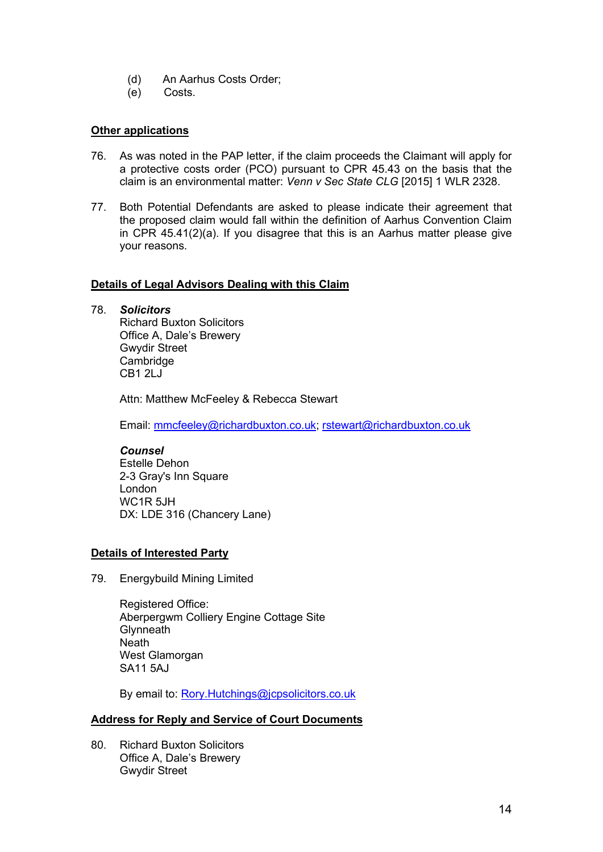- (d) An Aarhus Costs Order;
- (e) Costs.

# **Other applications**

- 76. As was noted in the PAP letter, if the claim proceeds the Claimant will apply for a protective costs order (PCO) pursuant to CPR 45.43 on the basis that the claim is an environmental matter: *Venn v Sec State CLG* [2015] 1 WLR 2328.
- 77. Both Potential Defendants are asked to please indicate their agreement that the proposed claim would fall within the definition of Aarhus Convention Claim in CPR 45.41(2)(a). If you disagree that this is an Aarhus matter please give your reasons.

# **Details of Legal Advisors Dealing with this Claim**

78. *Solicitors*

Richard Buxton Solicitors Office A, Dale's Brewery Gwydir Street **Cambridge** CB1 2LJ

Attn: Matthew McFeeley & Rebecca Stewart

Email: [mmcfeeley@richardbuxton.co.uk;](mailto:mmcfeeley@richardbuxton.co.uk) [rstewart@richardbuxton.co.uk](mailto:rstewart@richardbuxton.co.uk)

# *Counsel*

Estelle Dehon 2-3 Gray's Inn Square London WC1R 5JH DX: LDE 316 (Chancery Lane)

# **Details of Interested Party**

79. Energybuild Mining Limited

Registered Office: Aberpergwm Colliery Engine Cottage Site **Glynneath Neath** West Glamorgan SA11 5AJ

By email to: [Rory.Hutchings@jcpsolicitors.co.uk](mailto:Rory.Hutchings@jcpsolicitors.co.uk)

# **Address for Reply and Service of Court Documents**

80. Richard Buxton Solicitors Office A, Dale's Brewery Gwydir Street